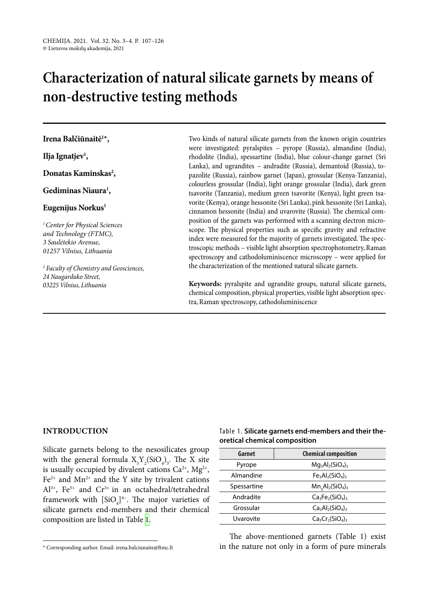# **Characterization of natural silicate garnets by means of non-destructive testing methods**

## **Irena Balčiūnaitė1 \*,**

**Ilja Ignatjev1 ,**

Donatas Kaminskas<sup>2</sup>,

## **Gediminas Niaura1 ,**

## **Eugenijus Norkus1**

*1Center for Physical Sciences and Technology (FTMC), 3 Saulėtekio Avenue, 01257 Vilnius, Lithuania*

*2 Faculty of Chemistry and Geosciences, 24 Naugarduko Street, 03225 Vilnius, Lithuania*

Two kinds of natural silicate garnets from the known origin countries were investigated: pyralspites – pyrope (Russia), almandine (India), rhodolite (India), spessartine (India), blue colour-change garnet (Sri Lanka), and ugrandites – andradite (Russia), demantoid (Russia), topazolite (Russia), rainbow garnet (Japan), grossular (Kenya-Tanzania), colourless grossular (India), light orange grossular (India), dark green tsavorite (Tanzania), medium green tsavorite (Kenya), light green tsavorite (Kenya), orange hessonite (Sri Lanka), pink hessonite (Sri Lanka), cinnamon hessonite (India) and uvarovite (Russia). The chemical composition of the garnets was performed with a scanning electron microscope. The physical properties such as specific gravity and refractive index were measured for the majority of garnets investigated. The spectroscopic methods – visible light absorption spectrophotometry, Raman spectroscopy and cathodoluminiscence microscopy – were applied for the characterization of the mentioned natural silicate garnets.

**Keywords:** pyralspite and ugrandite groups, natural silicate garnets, chemical composition, physical properties, visible light absorption spectra, Raman spectroscopy, cathodoluminiscence

## **INTRODUCTION**

Silicate garnets belong to the nesosilicates group with the general formula  $X_3 Y_2 (SiO_4)_3$ . The X site is usually occupied by divalent cations  $Ca^{2+}$ , Mg<sup>2+</sup>,  $Fe<sup>2+</sup>$  and Mn<sup>2+</sup> and the Y site by trivalent cations  $Al^{3+}$ , Fe<sup>3+</sup> and Cr<sup>3+</sup> in an octahedral/tetrahedral framework with  $[SiO<sub>4</sub>]$ <sup>4-</sup>. The major varieties of silicate garnets end-members and their chemical composition are listed in Table [1.](#page-0-0)

## <span id="page-0-0"></span>Table 1. **Silicate garnets end-members and their theoretical chemical composition**

| Garnet      | <b>Chemical composition</b> |
|-------------|-----------------------------|
| Pyrope      | $Mg_3Al_2(SiO_4)_3$         |
| Almandine   | $Fe_3Al_2(SiO_4)_3$         |
| Spessartine | $Mn3Al2(SiO4)3$             |
| Andradite   | $Ca_3Fe_2(SiO_4)_3$         |
| Grossular   | $Ca3Al2(SiO4)3$             |
| Uvarovite   | $Ca_3Cr_2(SiO_4)_3$         |

The above-mentioned garnets (Table 1) exist in the nature not only in a form of pure minerals

<sup>\*</sup> Corresponding author. Email: irena.balciunaite@ftmc.lt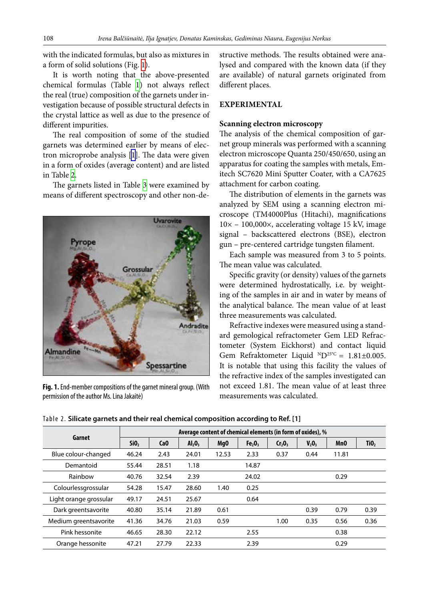with the indicated formulas, but also as mixtures in a form of solid solutions (Fig. [1](#page-1-0)).

It is worth noting that the above-presented chemical formulas (Table  [1](#page-0-0)) not always reflect the real (true) composition of the garnets under investigation because of possible structural defects in the crystal lattice as well as due to the presence of different impurities.

The real composition of some of the studied garnets was determined earlier by means of electron microprobe analysis [[1](#page-17-0)]. The data were given in a form of oxides (average content) and are listed in Table [2.](#page-1-1)

The garnets listed in Table [3](#page-2-0) were examined by means of different spectroscopy and other non-de-



## **EXPERIMENTAL**

#### **Scanning electron microscopy**

The analysis of the chemical composition of garnet group minerals was performed with a scanning electron microscope Quanta 250/450/650, using an apparatus for coating the samples with metals, Emitech SC7620 Mini Sputter Coater, with a CA7625 attachment for carbon coating.

The distribution of elements in the garnets was analyzed by SEM using a scanning electron microscope (TM4000Plus (Hitachi), magnifications 10× – 100,000×, accelerating voltage 15 kV, image signal – backscattered electrons (BSE), electron gun – pre-centered cartridge tungsten filament.

Each sample was measured from 3 to 5 points. The mean value was calculated.

Specific gravity (or density) values of the garnets were determined hydrostatically, i.e. by weighting of the samples in air and in water by means of the analytical balance. The mean value of at least three measurements was calculated.

Refractive indexes were measured using a standard gemological refractometer Gem LED Refractometer (System Eickhorst) and contact liquid Gem Refraktometer Liquid  $ND^{25\degree C} = 1.81\pm0.005$ . It is notable that using this facility the values of the refractive index of the samples investigated can not exceed 1.81. The mean value of at least three measurements was calculated.

<span id="page-1-0"></span>Uvarovite Grossula Andradite Almandine **Spessartine** 

**Fig. 1.** End-member compositions of the garnet mineral group. (With permission of the author Ms. Lina Jakaitė)

<span id="page-1-1"></span>Table 2. **Silicate garnets and their real chemical composition according to Ref. [1]**

|                        | Average content of chemical elements (in form of oxides), % |                 |                                |                 |                                |                                |          |                 |                  |
|------------------------|-------------------------------------------------------------|-----------------|--------------------------------|-----------------|--------------------------------|--------------------------------|----------|-----------------|------------------|
| Garnet                 | SiO <sub>2</sub>                                            | Ca <sub>0</sub> | Al <sub>2</sub> O <sub>3</sub> | Mg <sub>0</sub> | Fe <sub>2</sub> O <sub>3</sub> | Cr <sub>2</sub> O <sub>3</sub> | $V_2O_3$ | Mn <sub>0</sub> | TiO <sub>2</sub> |
| Blue colour-changed    | 46.24                                                       | 2.43            | 24.01                          | 12.53           | 2.33                           | 0.37                           | 0.44     | 11.81           |                  |
| Demantoid              | 55.44                                                       | 28.51           | 1.18                           |                 | 14.87                          |                                |          |                 |                  |
| Rainbow                | 40.76                                                       | 32.54           | 2.39                           |                 | 24.02                          |                                |          | 0.29            |                  |
| Colourlessgrossular    | 54.28                                                       | 15.47           | 28.60                          | 1.40            | 0.25                           |                                |          |                 |                  |
| Light orange grossular | 49.17                                                       | 24.51           | 25.67                          |                 | 0.64                           |                                |          |                 |                  |
| Dark greentsavorite    | 40.80                                                       | 35.14           | 21.89                          | 0.61            |                                |                                | 0.39     | 0.79            | 0.39             |
| Medium greentsavorite  | 41.36                                                       | 34.76           | 21.03                          | 0.59            |                                | 1.00                           | 0.35     | 0.56            | 0.36             |
| Pink hessonite         | 46.65                                                       | 28.30           | 22.12                          |                 | 2.55                           |                                |          | 0.38            |                  |
| Orange hessonite       | 47.21                                                       | 27.79           | 22.33                          |                 | 2.39                           |                                |          | 0.29            |                  |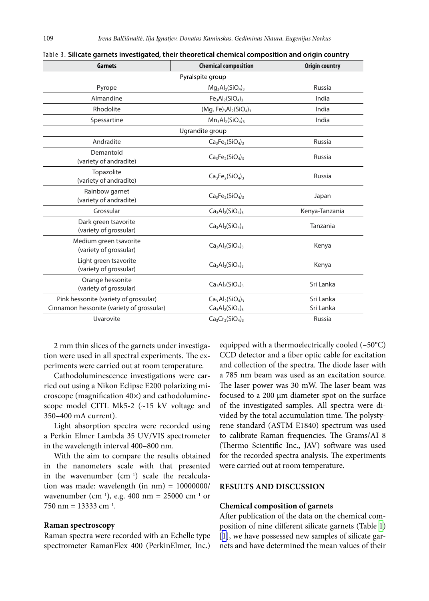| <b>Garnets</b>                                   | <b>Chemical composition</b> | <b>Origin country</b> |
|--------------------------------------------------|-----------------------------|-----------------------|
|                                                  | Pyralspite group            |                       |
| Pyrope                                           | $Mg_3Al_2(SiO_4)_3$         | Russia                |
| Almandine                                        | $Fe3Al2(SiO4)3$             | India                 |
| Rhodolite                                        | $(Mg, Fe)_3Al_2(SiO_4)_3$   | India                 |
| Spessartine                                      | $Mn_3Al_2(SiO_4)_3$         | India                 |
|                                                  | Ugrandite group             |                       |
| Andradite                                        | $Ca3Fe2(SiO4)3$             | <b>Russia</b>         |
| Demantoid<br>(variety of andradite)              | $Ca3Fe2(SiO4)3$             | Russia                |
| Topazolite<br>(variety of andradite)             | $Ca3Fe2(SiO4)3$             | <b>Russia</b>         |
| Rainbow garnet<br>(variety of andradite)         | $Ca3Fe2(SiO4)3$             | Japan                 |
| Grossular                                        | $Ca3Al2(SiO4)3$             | Kenya-Tanzania        |
| Dark green tsavorite<br>(variety of grossular)   | $Ca3Al2(SiO4)3$             | Tanzania              |
| Medium green tsavorite<br>(variety of grossular) | $Ca3Al2(SiO4)3$             | Kenya                 |
| Light green tsavorite<br>(variety of grossular)  | $Ca3Al2(SiO4)3$             | Kenya                 |
| Orange hessonite<br>(variety of grossular)       | $Ca3Al2(SiO4)3$             | Sri Lanka             |
| Pink hessonite (variety of grossular)            | $Ca3Al2(SiO4)3$             | Sri Lanka             |
| Cinnamon hessonite (variety of grossular)        | $Ca3Al2(SiO4)3$             | Sri Lanka             |
| Uvarovite                                        | $Ca3Cr2(SiO4)3$             | <b>Russia</b>         |

<span id="page-2-0"></span>

| ${\tt Table~3}.$ Silicate garnets investigated, their theoretical chemical composition and origin country |  |  |  |
|-----------------------------------------------------------------------------------------------------------|--|--|--|
|                                                                                                           |  |  |  |

2 mm thin slices of the garnets under investigation were used in all spectral experiments. The experiments were carried out at room temperature.

Cathodoluminescence investigations were carried out using a Nikon Eclipse E200 polarizing microscope (magnification 40×) and cathodoluminescope model CITL Mk5-2 (~15 kV voltage and 350–400 mA current).

Light absorption spectra were recorded using a Perkin Elmer Lambda 35 UV/VIS spectrometer in the wavelength interval 400–800 nm.

With the aim to compare the results obtained in the nanometers scale with that presented in the wavenumber  $(cm<sup>-1</sup>)$  scale the recalculation was made: wavelength (in  $nm$ ) =  $10000000/$ wavenumber (cm<sup>-1</sup>), e.g. 400 nm = 25000 cm<sup>-1</sup> or 750 nm =  $13333$  cm<sup>-1</sup>.

#### **Raman spectroscopy**

Raman spectra were recorded with an Echelle type spectrometer RamanFlex 400 (PerkinElmer, Inc.) equipped with a thermoelectrically cooled (–50°C) CCD detector and a fiber optic cable for excitation and collection of the spectra. The diode laser with a 785 nm beam was used as an excitation source. The laser power was 30 mW. The laser beam was focused to a 200 µm diameter spot on the surface of the investigated samples. All spectra were divided by the total accumulation time. The polystyrene standard (ASTM E1840) spectrum was used to calibrate Raman frequencies. The Grams/AI 8 (Thermo Scientific Inc., JAV) software was used for the recorded spectra analysis. The experiments were carried out at room temperature.

### **RESULTS AND DISCUSSION**

#### **Chemical composition of garnets**

After publication of the data on the chemical composition of nine different silicate garnets (Table [1](#page-0-0)) [\[1\]](#page-17-0), we have possessed new samples of silicate garnets and have determined the mean values of their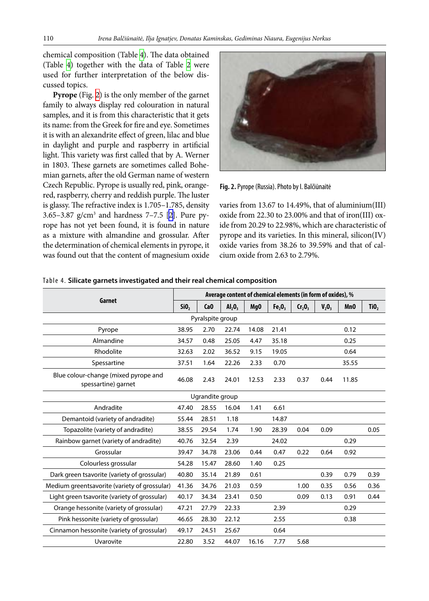chemical composition (Table [4](#page-3-0)). The data obtained (Table  [4\)](#page-3-0) together with the data of Table  [2](#page-1-1) were used for further interpretation of the below discussed topics.

**Pyrope** (Fig. [2](#page-3-1)) is the only member of the garnet family to always display red colouration in natural samples, and it is from this characteristic that it gets its name: from the Greek for fire and eye. Sometimes it is with an alexandrite effect of green, lilac and blue in daylight and purple and raspberry in artificial light. This variety was first called that by A. Werner in 1803. These garnets are sometimes called Bohemian garnets, after the old German name of western Czech Republic. Pyrope is usually red, pink, orangered, raspberry, cherry and reddish purple. The luster is glassy. The refractive index is 1.705–1.785, density 3.65–3.87  $g/cm^3$  and hardness 7–7.5 [\[2\]](#page-17-1). Pure pyrope has not yet been found, it is found in nature as a mixture with almandine and grossular. After the determination of chemical elements in pyrope, it was found out that the content of magnesium oxide

<span id="page-3-1"></span>

**Fig. 2.**Pyrope (Russia). Photo by I. Balčiūnaitė

varies from 13.67 to 14.49%, that of aluminium(III) oxide from 22.30 to 23.00% and that of iron(III) oxide from 20.29 to 22.98%, which are characteristic of pyrope and its varieties. In this mineral, silicon(IV) oxide varies from 38.26 to 39.59% and that of calcium oxide from 2.63 to 2.79%.

|                                                             | Average content of chemical elements (in form of oxides), % |                  |        |                 |                                |           |       |                 |                  |
|-------------------------------------------------------------|-------------------------------------------------------------|------------------|--------|-----------------|--------------------------------|-----------|-------|-----------------|------------------|
| Garnet                                                      |                                                             | Ca <sub>0</sub>  | AI, 0, | Mg <sub>0</sub> | Fe <sub>2</sub> O <sub>3</sub> | $Cr_2O_3$ | V, 0, | Mn <sub>0</sub> | TiO <sub>2</sub> |
|                                                             |                                                             | Pyralspite group |        |                 |                                |           |       |                 |                  |
| Pyrope                                                      | 38.95                                                       | 2.70             | 22.74  | 14.08           | 21.41                          |           |       | 0.12            |                  |
| Almandine                                                   | 34.57                                                       | 0.48             | 25.05  | 4.47            | 35.18                          |           |       | 0.25            |                  |
| Rhodolite                                                   | 32.63                                                       | 2.02             | 36.52  | 9.15            | 19.05                          |           |       | 0.64            |                  |
| Spessartine                                                 | 37.51                                                       | 1.64             | 22.26  | 2.33            | 0.70                           |           |       | 35.55           |                  |
| Blue colour-change (mixed pyrope and<br>spessartine) garnet | 46.08                                                       | 2.43             | 24.01  | 12.53           | 2.33                           | 0.37      | 0.44  | 11.85           |                  |
| Ugrandite group                                             |                                                             |                  |        |                 |                                |           |       |                 |                  |
| Andradite                                                   | 47.40                                                       | 28.55            | 16.04  | 1.41            | 6.61                           |           |       |                 |                  |
| Demantoid (variety of andradite)                            | 55.44                                                       | 28.51            | 1.18   |                 | 14.87                          |           |       |                 |                  |
| Topazolite (variety of andradite)                           | 38.55                                                       | 29.54            | 1.74   | 1.90            | 28.39                          | 0.04      | 0.09  |                 | 0.05             |
| Rainbow garnet (variety of andradite)                       | 40.76                                                       | 32.54            | 2.39   |                 | 24.02                          |           |       | 0.29            |                  |
| Grossular                                                   | 39.47                                                       | 34.78            | 23.06  | 0.44            | 0.47                           | 0.22      | 0.64  | 0.92            |                  |
| Colourless grossular                                        | 54.28                                                       | 15.47            | 28.60  | 1.40            | 0.25                           |           |       |                 |                  |
| Dark green tsavorite (variety of grossular)                 | 40.80                                                       | 35.14            | 21.89  | 0.61            |                                |           | 0.39  | 0.79            | 0.39             |
| Medium greentsavorite (variety of grossular)                | 41.36                                                       | 34.76            | 21.03  | 0.59            |                                | 1.00      | 0.35  | 0.56            | 0.36             |
| Light green tsavorite (variety of grossular)                | 40.17                                                       | 34.34            | 23.41  | 0.50            |                                | 0.09      | 0.13  | 0.91            | 0.44             |
| Orange hessonite (variety of grossular)                     | 47.21                                                       | 27.79            | 22.33  |                 | 2.39                           |           |       | 0.29            |                  |
| Pink hessonite (variety of grossular)                       | 46.65                                                       | 28.30            | 22.12  |                 | 2.55                           |           |       | 0.38            |                  |
| Cinnamon hessonite (variety of grossular)                   | 49.17                                                       | 24.51            | 25.67  |                 | 0.64                           |           |       |                 |                  |
| Uvarovite                                                   | 22.80                                                       | 3.52             | 44.07  | 16.16           | 7.77                           | 5.68      |       |                 |                  |

<span id="page-3-0"></span>Table 4. **Silicate garnets investigated and their real chemical composition**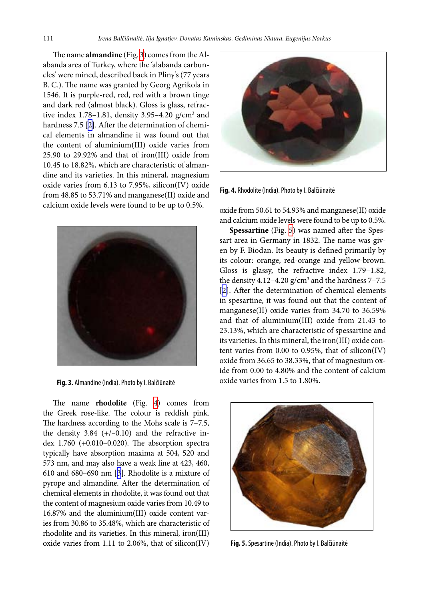The name **almandine** (Fig. [3](#page-4-0)) comes from the Alabanda area of Turkey, where the 'alabanda carbuncles' were mined, described back in Pliny's (77 years B. C.). The name was granted by Georg Agrikola in 1546. It is purple-red, red, red with a brown tinge and dark red (almost black). Gloss is glass, refractive index  $1.78-1.81$ , density  $3.95-4.20$  g/cm<sup>3</sup> and hardness 7.5 [\[2\]](#page-17-1). After the determination of chemical elements in almandine it was found out that the content of aluminium(III) oxide varies from 25.90 to 29.92% and that of iron(III) oxide from 10.45 to 18.82%, which are characteristic of almandine and its varieties. In this mineral, magnesium oxide varies from 6.13 to 7.95%, silicon(IV) oxide from 48.85 to 53.71% and manganese(II) oxide and calcium oxide levels were found to be up to 0.5%.

<span id="page-4-0"></span>

**Fig. 3.** Almandine (India). Photo by I. Balčiūnaitė

The name **rhodolite** (Fig.  [4](#page-4-1)) comes from the Greek rose-like. The colour is reddish pink. The hardness according to the Mohs scale is 7–7.5, the density  $3.84$  (+/-0.10) and the refractive index 1.760 (+0.010–0.020). The absorption spectra typically have absorption maxima at 504, 520 and 573 nm, and may also have a weak line at 423, 460, 610 and 680–690 nm [\[3](#page-18-0)]. Rhodolite is a mixture of pyrope and almandine. After the determination of chemical elements in rhodolite, it was found out that the content of magnesium oxide varies from 10.49 to 16.87% and the aluminium(III) oxide content varies from 30.86 to 35.48%, which are characteristic of rhodolite and its varieties. In this mineral, iron(III) oxide varies from 1.11 to 2.06%, that of silicon(IV)

<span id="page-4-1"></span>

**Fig. 4.** Rhodolite (India). Photo by I. Balčiūnaitė

oxide from 50.61 to 54.93% and manganese(II) oxide and calcium oxide levels were found to be up to 0.5%.

**Spessartine** (Fig. [5\)](#page-4-2) was named after the Spessart area in Germany in 1832. The name was given by F. Biodan. Its beauty is defined primarily by its colour: orange, red-orange and yellow-brown. Gloss is glassy, the refractive index 1.79–1.82, the density 4.12–4.20  $g/cm^3$  and the hardness 7–7.5 [\[2\]](#page-17-1). After the determination of chemical elements in spesartine, it was found out that the content of manganese(II) oxide varies from 34.70 to 36.59% and that of aluminium(III) oxide from 21.43 to 23.13%, which are characteristic of spessartine and its varieties. In this mineral, the iron(III) oxide content varies from 0.00 to 0.95%, that of silicon(IV) oxide from 36.65 to 38.33%, that of magnesium oxide from 0.00 to 4.80% and the content of calcium oxide varies from 1.5 to 1.80%.

<span id="page-4-2"></span>

**Fig. 5.** Spesartine (India). Photo by I. Balčiūnaitė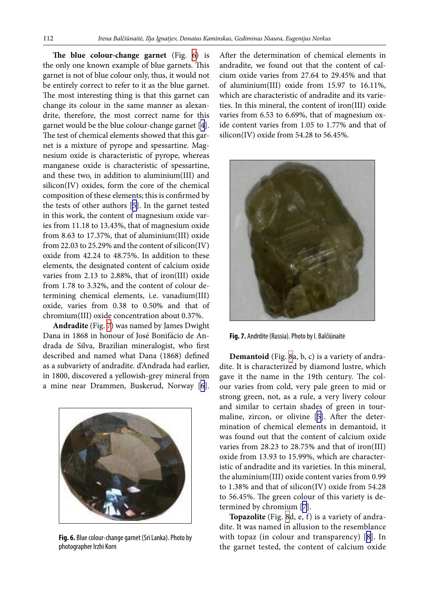**The blue colour-change garnet** (Fig.  [6](#page-5-0)) is the only one known example of blue garnets. This garnet is not of blue colour only, thus, it would not be entirely correct to refer to it as the blue garnet. The most interesting thing is that this garnet can change its colour in the same manner as alexandrite, therefore, the most correct name for this garnet would be the blue colour-change garnet [[4](#page-18-1)]. The test of chemical elements showed that this garnet is a mixture of pyrope and spessartine. Magnesium oxide is characteristic of pyrope, whereas manganese oxide is characteristic of spessartine, and these two, in addition to aluminium(III) and silicon(IV) oxides, form the core of the chemical composition of these elements; this is confirmed by the tests of other authors [\[5\]](#page-18-2). In the garnet tested in this work, the content of magnesium oxide varies from 11.18 to 13.43%, that of magnesium oxide from 8.63 to 17.37%, that of aluminium(III) oxide from 22.03 to 25.29% and the content of silicon(IV) oxide from 42.24 to 48.75%. In addition to these elements, the designated content of calcium oxide varies from 2.13 to 2.88%, that of iron(III) oxide from 1.78 to 3.32%, and the content of colour determining chemical elements, i.e. vanadium(III) oxide, varies from 0.38 to 0.50% and that of chromium(III) oxide concentration about 0.37%.

**Andradite** (Fig. [7](#page-5-1)) was named by James Dwight Dana in 1868 in honour of José Bonifácio de Andrada de Silva, Brazilian mineralogist, who first described and named what Dana (1868) defined as a subvariety of andradite. d'Andrada had earlier, in 1800, discovered a yellowish-grey mineral from a mine near Drammen, Buskerud, Norway [[6](#page-18-3)].

<span id="page-5-0"></span>

**Fig. 6.** Blue colour-change garnet (Sri Lanka). Photo by photographer Irzhi Korn

After the determination of chemical elements in andradite, we found out that the content of calcium oxide varies from 27.64 to 29.45% and that of aluminium(III) oxide from 15.97 to 16.11%, which are characteristic of andradite and its varieties. In this mineral, the content of iron(III) oxide varies from 6.53 to 6.69%, that of magnesium oxide content varies from 1.05 to 1.77% and that of silicon(IV) oxide from 54.28 to 56.45%.

<span id="page-5-1"></span>

**Fig. 7.** Andrdite (Russia). Photo by I. Balčiūnaitė

**Demantoid** (Fig. [8a](#page-6-0), b, c) is a variety of andradite. It is characterized by diamond lustre, which gave it the name in the 19th century. The colour varies from cold, very pale green to mid or strong green, not, as a rule, a very livery colour and similar to certain shades of green in tourmaline, zircon, or olivine [[5](#page-18-2)]. After the determination of chemical elements in demantoid, it was found out that the content of calcium oxide varies from 28.23 to 28.75% and that of iron(III) oxide from 13.93 to 15.99%, which are characteristic of andradite and its varieties. In this mineral, the aluminium(III) oxide content varies from 0.99 to 1.38% and that of silicon(IV) oxide from 54.28 to 56.45%. The green colour of this variety is determined by chromium [\[7](#page-18-4)].

**Topazolite** (Fig. [8](#page-6-0)d, e, f) is a variety of andradite. It was named in allusion to the resemblance with topaz (in colour and transparency) [[8\]](#page-18-5). In the garnet tested, the content of calcium oxide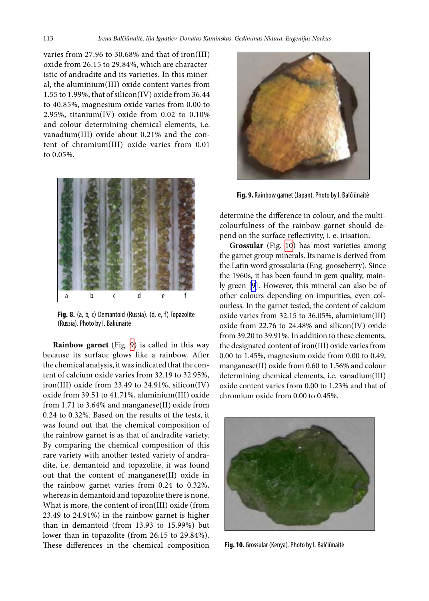varies from 27.96 to 30.68% and that of iron(III) oxide from 26.15 to 29.84%, which are characteristic of andradite and its varieties. In this mineral, the aluminium(III) oxide content varies from 1.55 to 1.99%, that of silicon(IV) oxide from 36.44 to 40.85%, magnesium oxide varies from 0.00 to 2.95%, titanium(IV) oxide from 0.02 to 0.10% and colour determining chemical elements, i.e. vanadium(III) oxide about 0.21% and the content of chromium(III) oxide varies from 0.01 to 0.05%.

<span id="page-6-0"></span>

**Fig. 8.** (a, b, c) Demantoid (Russia). (d, e, f) Topazolite (Russia). Photo by I. Baliūnaitė

**Rainbow garnet** (Fig.  [9\)](#page-6-1) is called in this way because its surface glows like a rainbow. After the chemical analysis, it was indicated that the content of calcium oxide varies from 32.19 to 32.95%, iron(III) oxide from 23.49 to 24.91%, silicon(IV) oxide from 39.51 to 41.71%, aluminium(III) oxide from 1.71 to 3.64% and manganese(II) oxide from 0.24 to 0.32%. Based on the results of the tests, it was found out that the chemical composition of the rainbow garnet is as that of andradite variety. By comparing the chemical composition of this rare variety with another tested variety of andradite, i.e. demantoid and topazolite, it was found out that the content of manganese(II) oxide in the rainbow garnet varies from 0.24 to 0.32%, whereas in demantoid and topazolite there is none. What is more, the content of iron(III) oxide (from 23.49 to 24.91%) in the rainbow garnet is higher than in demantoid (from 13.93 to 15.99%) but lower than in topazolite (from 26.15 to 29.84%). These differences in the chemical composition

<span id="page-6-1"></span>

**Fig. 9.** Rainbow garnet (Japan). Photo by I. Balčiūnaitė

determine the difference in colour, and the multicolourfulness of the rainbow garnet should depend on the surface reflectivity, i. e. irisation.

**Grossular** (Fig.  [10\)](#page-6-2) has most varieties among the garnet group minerals. Its name is derived from the Latin word grossularia (Eng. gooseberry). Since the 1960s, it has been found in gem quality, mainly green [\[9\]](#page-18-6). However, this mineral can also be of other colours depending on impurities, even colourless. In the garnet tested, the content of calcium oxide varies from 32.15 to 36.05%, aluminium(III) oxide from 22.76 to 24.48% and silicon(IV) oxide from 39.20 to 39.91%. In addition to these elements, the designated content of iron(III) oxide varies from 0.00 to 1.45%, magnesium oxide from 0.00 to 0.49, manganese(II) oxide from 0.60 to 1.56% and colour determining chemical elements, i.e. vanadium(III) oxide content varies from 0.00 to 1.23% and that of chromium oxide from 0.00 to 0.45%.

<span id="page-6-2"></span>

**Fig. 10.** Grossular (Kenya). Photo by I. Balčiūnaitė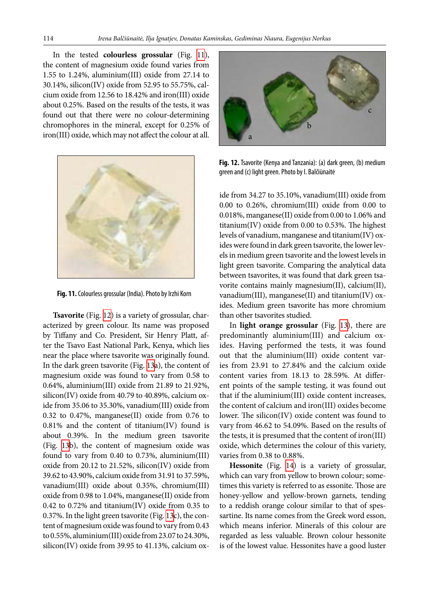In the tested **colourless grossular** (Fig.  [11](#page-7-0)), the content of magnesium oxide found varies from 1.55 to 1.24%, aluminium(III) oxide from 27.14 to 30.14%, silicon(IV) oxide from 52.95 to 55.75%, calcium oxide from 12.56 to 18.42% and iron(III) oxide about 0.25%. Based on the results of the tests, it was found out that there were no colour-determining chromophores in the mineral, except for 0.25% of iron(III) oxide, which may not affect the colour at all.

<span id="page-7-0"></span>

**Fig. 11.** Colourless grossular (India). Photo by Irzhi Korn

**Tsavorite** (Fig. [12](#page-7-1)) is a variety of grossular, characterized by green colour. Its name was proposed by Tiffany and Co. President, Sir Henry Platt, after the Tsavo East National Park, Kenya, which lies near the place where tsavorite was originally found. In the dark green tsavorite (Fig. [13](#page-8-0)a), the content of magnesium oxide was found to vary from 0.58 to 0.64%, aluminium(III) oxide from 21.89 to 21.92%, silicon(IV) oxide from 40.79 to 40.89%, calcium oxide from 35.06 to 35.30%, vanadium(III) oxide from 0.32 to 0.47%, manganese(II) oxide from 0.76 to 0.81% and the content of titanium(IV) found is about 0.39%. In the medium green tsavorite (Fig.  [13b](#page-8-0)), the content of magnesium oxide was found to vary from 0.40 to 0.73%, aluminium(III) oxide from 20.12 to 21.52%, silicon(IV) oxide from 39.62 to 43.90%, calcium oxide from 31.91 to 37.59%, vanadium(III) oxide about 0.35%, chromium(III) oxide from 0.98 to 1.04%, manganese(II) oxide from 0.42 to 0.72% and titanium(IV) oxide from 0.35 to 0.37%. In the light green tsavorite (Fig. [13c](#page-8-0)), the content of magnesium oxide was found to vary from 0.43 to 0.55%, aluminium(III) oxide from 23.07 to 24.30%, silicon(IV) oxide from 39.95 to 41.13%, calcium ox-

<span id="page-7-1"></span>

**Fig. 12.** Tsavorite (Kenya and Tanzania): (a) dark green, (b) medium green and (c) light green. Photo by I. Balčiūnaitė

ide from 34.27 to 35.10%, vanadium(III) oxide from 0.00 to 0.26%, chromium(III) oxide from 0.00 to 0.018%, manganese(II) oxide from 0.00 to 1.06% and titanium(IV) oxide from 0.00 to 0.53%. The highest levels of vanadium, manganese and titanium(IV) oxides were found in dark green tsavorite, the lower levels in medium green tsavorite and the lowest levels in light green tsavorite. Comparing the analytical data between tsavorites, it was found that dark green tsavorite contains mainly magnesium(II), calcium(II), vanadium(III), manganese(II) and titanium(IV) oxides. Medium green tsavorite has more chromium than other tsavorites studied.

In **light orange grossular** (Fig.  [13](#page-8-0)), there are predominantly aluminium(III) and calcium oxides. Having performed the tests, it was found out that the aluminium(III) oxide content varies from 23.91 to 27.84% and the calcium oxide content varies from 18.13 to 28.59%. At different points of the sample testing, it was found out that if the aluminium(III) oxide content increases, the content of calcium and iron(III) oxides become lower. The silicon(IV) oxide content was found to vary from 46.62 to 54.09%. Based on the results of the tests, it is presumed that the content of iron(III) oxide, which determines the colour of this variety, varies from 0.38 to 0.88%.

**Hessonite** (Fig.  [14\)](#page-8-1) is a variety of grossular, which can vary from yellow to brown colour; sometimes this variety is referred to as essonite. Those are honey-yellow and yellow-brown garnets, tending to a reddish orange colour similar to that of spessartine. Its name comes from the Greek word esson, which means inferior. Minerals of this colour are regarded as less valuable. Brown colour hessonite is of the lowest value. Hessonites have a good luster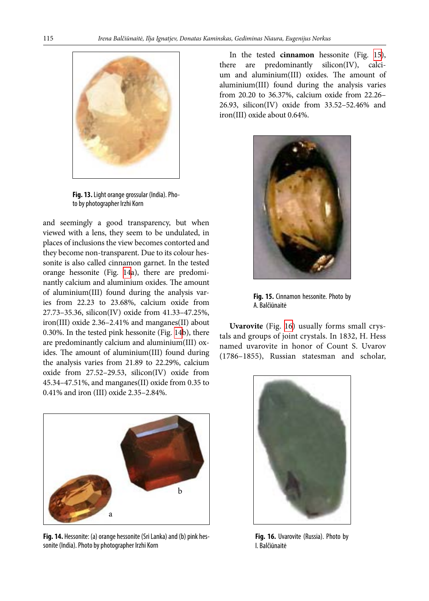<span id="page-8-0"></span>

**Fig. 13.** Light orange grossular (India). Photo by photographer Irzhi Korn

and seemingly a good transparency, but when viewed with a lens, they seem to be undulated, in places of inclusions the view becomes contorted and they become non-transparent. Due to its colour hessonite is also called cinnamon garnet. In the tested orange hessonite (Fig.  [14](#page-8-1)a), there are predominantly calcium and aluminium oxides. The amount of aluminium(III) found during the analysis varies from 22.23 to 23.68%, calcium oxide from 27.73–35.36, silicon(IV) oxide from 41.33–47.25%, iron(III) oxide 2.36–2.41% and manganes(II) about 0.30%. In the tested pink hessonite (Fig. [14b](#page-8-1)), there are predominantly calcium and aluminium(III) oxides. The amount of aluminium(III) found during the analysis varies from 21.89 to 22.29%, calcium oxide from 27.52–29.53, silicon(IV) oxide from 45.34–47.51%, and manganes(II) oxide from 0.35 to 0.41% and iron (III) oxide 2.35–2.84%.

<span id="page-8-1"></span>

**Fig. 14.** Hessonite: (a) orange hessonite (Sri Lanka) and (b) pink hessonite (India). Photo by photographer Irzhi Korn

In the tested **cinnamon** hessonite (Fig.  [15\)](#page-8-2), there are predominantly silicon(IV), calcium and aluminium(III) oxides. The amount of aluminium(III) found during the analysis varies from 20.20 to 36.37%, calcium oxide from 22.26– 26.93, silicon(IV) oxide from 33.52–52.46% and iron(III) oxide about 0.64%.

<span id="page-8-2"></span>

**Fig. 15.** Cinnamon hessonite. Photo by A. Balčiūnaitė

**Uvarovite** (Fig.  [16](#page-8-3)) usually forms small crystals and groups of joint crystals. In 1832, H. Hess named uvarovite in honor of Count S. Uvarov (1786–1855), Russian statesman and scholar,

<span id="page-8-3"></span>

**Fig. 16.** Uvarovite (Russia). Photo by I. Balčiūnaitė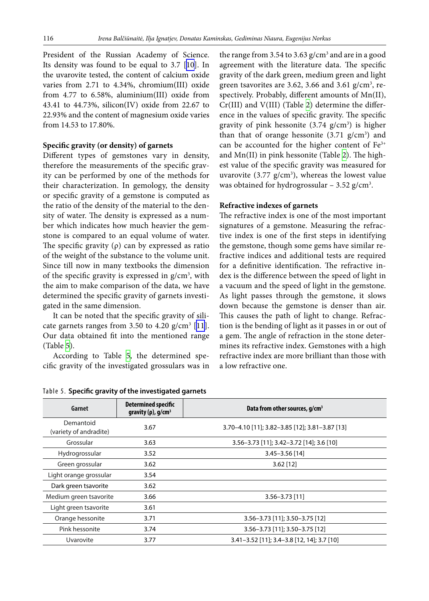President of the Russian Academy of Science. Its density was found to be equal to 3.7 [[10\]](#page-18-7). In the uvarovite tested, the content of calcium oxide varies from 2.71 to 4.34%, chromium(III) oxide from 4.77 to 6.58%, aluminium(III) oxide from 43.41 to 44.73%, silicon(IV) oxide from 22.67 to 22.93% and the content of magnesium oxide varies from 14.53 to 17.80%.

### **Specific gravity (or density) of garnets**

Different types of gemstones vary in density, therefore the measurements of the specific gravity can be performed by one of the methods for their characterization. In gemology, the density or specific gravity of a gemstone is computed as the ratio of the density of the material to the density of water. The density is expressed as a number which indicates how much heavier the gemstone is compared to an equal volume of water. The specific gravity  $(\rho)$  can by expressed as ratio of the weight of the substance to the volume unit. Since till now in many textbooks the dimension of the specific gravity is expressed in  $g/cm<sup>3</sup>$ , with the aim to make comparison of the data, we have determined the specific gravity of garnets investigated in the same dimension.

It can be noted that the specific gravity of silicate garnets ranges from 3.50 to  $4.20$  g/cm<sup>3</sup> [[11](#page-18-8)]. Our data obtained fit into the mentioned range (Table [5\)](#page-9-0).

According to Table  [5](#page-9-0), the determined specific gravity of the investigated grossulars was in

the range from 3.54 to 3.63  $g/cm<sup>3</sup>$  and are in a good agreement with the literature data. The specific gravity of the dark green, medium green and light green tsavorites are 3.62, 3.66 and 3.61 g/cm<sup>3</sup>, respectively. Probably, different amounts of Mn(II), Cr(III) and V(III) (Table [2\)](#page-1-1) determine the difference in the values of specific gravity. The specific gravity of pink hessonite  $(3.74 \text{ g/cm}^3)$  is higher than that of orange hessonite  $(3.71 \text{ g/cm}^3)$  and can be accounted for the higher content of  $Fe<sup>3+</sup>$ and Mn(II) in pink hessonite (Table [2\)](#page-1-1). The highest value of the specific gravity was measured for uvarovite  $(3.77 \text{ g/cm}^3)$ , whereas the lowest value was obtained for hydrogrossular  $-3.52$  g/cm<sup>3</sup>.

#### **Refractive indexes of garnets**

The refractive index is one of the most important signatures of a gemstone. Measuring the refractive index is one of the first steps in identifying the gemstone, though some gems have similar refractive indices and additional tests are required for a definitive identification. The refractive index is the difference between the speed of light in a vacuum and the speed of light in the gemstone. As light passes through the gemstone, it slows down because the gemstone is denser than air. This causes the path of light to change. Refraction is the bending of light as it passes in or out of a gem. The angle of refraction in the stone determines its refractive index. Gemstones with a high refractive index are more brilliant than those with a low refractive one.

| Garnet                              | <b>Determined specific</b><br>gravity ( $\rho$ ), g/cm <sup>3</sup> | Data from other sources, g/cm <sup>3</sup>     |
|-------------------------------------|---------------------------------------------------------------------|------------------------------------------------|
| Demantoid<br>(variety of andradite) | 3.67                                                                | 3.70-4.10 [11]; 3.82-3.85 [12]; 3.81-3.87 [13] |
| Grossular                           | 3.63                                                                | 3.56-3.73 [11]; 3.42-3.72 [14]; 3.6 [10]       |
| Hydrogrossular                      | 3.52                                                                | $3.45 - 3.56$ [14]                             |
| Green grossular                     | 3.62                                                                | $3.62$ [12]                                    |
| Light orange grossular              | 3.54                                                                |                                                |
| Dark green tsavorite                | 3.62                                                                |                                                |
| Medium green tsavorite              | 3.66                                                                | $3.56 - 3.73$ [11]                             |
| Light green tsavorite               | 3.61                                                                |                                                |
| Orange hessonite                    | 3.71                                                                | 3.56-3.73 [11]; 3.50-3.75 [12]                 |
| Pink hessonite                      | 3.74                                                                | 3.56-3.73 [11]; 3.50-3.75 [12]                 |
| Uvarovite                           | 3.77                                                                | 3.41-3.52 [11]; 3.4-3.8 [12, 14]; 3.7 [10]     |

<span id="page-9-0"></span>Table 5. **Specific gravity of the investigated garnets**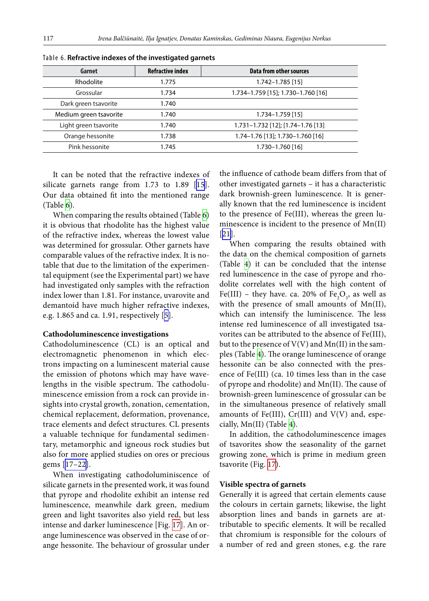| Garnet                 | <b>Refractive index</b> | Data from other sources            |
|------------------------|-------------------------|------------------------------------|
| Rhodolite              | 1.775                   | 1.742-1.785 [15]                   |
| Grossular              | 1.734                   | 1.734-1.759 [15]; 1.730-1.760 [16] |
| Dark green tsavorite   | 1.740                   |                                    |
| Medium green tsavorite | 1.740                   | $1.734 - 1.759$ [15]               |
| Light green tsavorite  | 1.740                   | 1.731-1.732 [12]; [1.74-1.76 [13]  |
| Orange hessonite       | 1.738                   | 1.74-1.76 [13]; 1.730-1.760 [16]   |
| Pink hessonite         | 1.745                   | 1.730-1.760 [16]                   |

<span id="page-10-0"></span>Table 6. **Refractive indexes of the investigated garnets**

It can be noted that the refractive indexes of silicate garnets range from 1.73 to 1.89 [[15](#page-18-9)]. Our data obtained fit into the mentioned range (Table [6\)](#page-10-0).

When comparing the results obtained (Table [6\)](#page-10-0) it is obvious that rhodolite has the highest value of the refractive index, whereas the lowest value was determined for grossular. Other garnets have comparable values of the refractive index. It is notable that due to the limitation of the experimental equipment (see the Experimental part) we have had investigated only samples with the refraction index lower than 1.81. For instance, uvarovite and demantoid have much higher refractive indexes, e.g. 1.865 and ca. 1.91, respectively [[5](#page-18-2)].

#### **Cathodoluminescence investigations**

Cathodoluminescence (CL) is an optical and electromagnetic phenomenon in which electrons impacting on a luminescent material cause the emission of photons which may have wavelengths in the visible spectrum. The cathodoluminescence emission from a rock can provide insights into crystal growth, zonation, cementation, chemical replacement, deformation, provenance, trace elements and defect structures. CL presents a valuable technique for fundamental sedimentary, metamorphic and igneous rock studies but also for more applied studies on ores or precious gems [\[17–22](#page-18-10)].

When investigating cathodoluminiscence of silicate garnets in the presented work, it was found that pyrope and rhodolite exhibit an intense red luminescence, meanwhile dark green, medium green and light tsavorites also yield red, but less intense and darker luminescence [Fig. [17](#page-11-0)]. An orange luminescence was observed in the case of orange hessonite. The behaviour of grossular under the influence of cathode beam differs from that of other investigated garnets – it has a characteristic dark brownish-green luminescence. It is generally known that the red luminescence is incident to the presence of Fe(III), whereas the green luminescence is incident to the presence of Mn(II) [\[21](#page-18-11)].

When comparing the results obtained with the data on the chemical composition of garnets (Table  [4](#page-3-0)) it can be concluded that the intense red luminescence in the case of pyrope and rhodolite correlates well with the high content of Fe(III) – they have. ca. 20% of  $Fe<sub>2</sub>O<sub>3</sub>$ , as well as with the presence of small amounts of Mn(II), which can intensify the luminiscence. The less intense red luminescence of all investigated tsavorites can be attributed to the absence of Fe(III), but to the presence of  $V(V)$  and  $Mn(II)$  in the samples (Table [4\)](#page-3-0). The orange luminescence of orange hessonite can be also connected with the presence of Fe(III) (ca. 10 times less than in the case of pyrope and rhodolite) and Mn(II). The cause of brownish-green luminescence of grossular can be in the simultaneous presence of relatively small amounts of Fe(III),  $Cr(III)$  and  $V(V)$  and, especially, Mn(II) (Table [4\)](#page-3-0).

In addition, the cathodoluminescence images of tsavorites show the seasonality of the garnet growing zone, which is prime in medium green tsavorite (Fig. [17\)](#page-11-0).

## **Visible spectra of garnets**

Generally it is agreed that certain elements cause the colours in certain garnets; likewise, the light absorption lines and bands in garnets are attributable to specific elements. It will be recalled that chromium is responsible for the colours of a number of red and green stones, e.g. the rare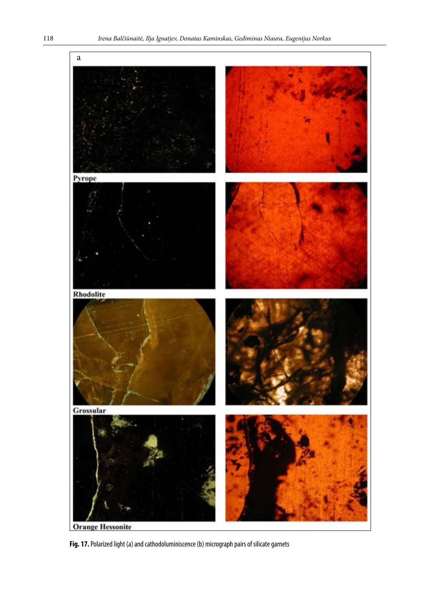<span id="page-11-0"></span>

**Fig. 17.** Polarized light (a) and cathodoluminiscence (b) micrograph pairs of silicate garnets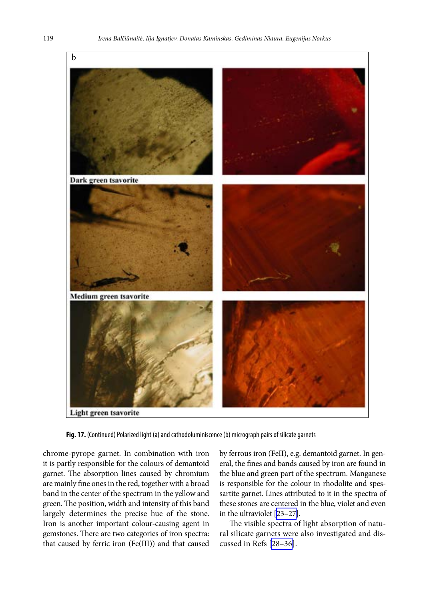

**Fig. 17.** (Continued) Polarized light (a) and cathodoluminiscence (b) micrograph pairs of silicate garnets

chrome-pyrope garnet. In combination with iron it is partly responsible for the colours of demantoid garnet. The absorption lines caused by chromium are mainly fine ones in the red, together with a broad band in the center of the spectrum in the yellow and green. The position, width and intensity of this band largely determines the precise hue of the stone. Iron is another important colour-causing agent in gemstones. There are two categories of iron spectra: that caused by ferric iron (Fe(III)) and that caused by ferrous iron (FeII), e.g. demantoid garnet. In general, the fines and bands caused by iron are found in the blue and green part of the spectrum. Manganese is responsible for the colour in rhodolite and spessartite garnet. Lines attributed to it in the spectra of these stones are centered in the blue, violet and even in the ultraviolet [\[23–27](#page-18-12)].

The visible spectra of light absorption of natural silicate garnets were also investigated and discussed in Refs [\[28–36\]](#page-18-13).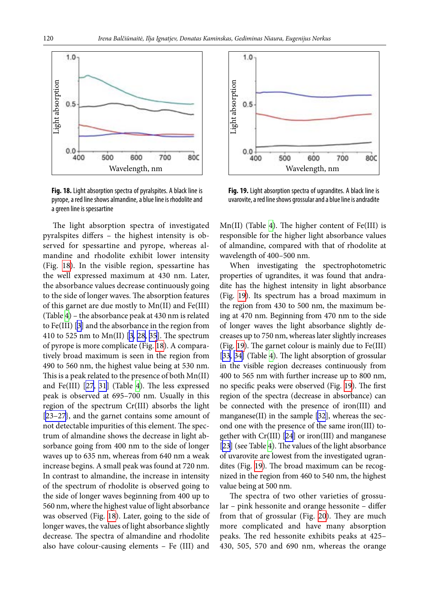

**Fig. 18.** Light absorption spectra of pyralspites. A black line is pyrope, a red line shows almandine, a blue line is rhodolite and a green line is spessartine

The light absorption spectra of investigated pyralspites differs – the highest intensity is observed for spessartine and pyrope, whereas almandine and rhodolite exhibit lower intensity (Fig.  [18](#page-13-0)). In the visible region, spessartine has the well expressed maximum at 430 nm. Later, the absorbance values decrease continuously going to the side of longer waves. The absorption features of this garnet are due mostly to Mn(II) and Fe(III) (Table [4](#page-3-0)) – the absorbance peak at 430 nm is related to Fe(III) [\[3\]](#page-18-0) and the absorbance in the region from 410 to 525 nm to Mn(II) [\[3,](#page-18-0) [28](#page-18-14), [35\]](#page-18-15). The spectrum of pyrope is more complicate (Fig. [18](#page-13-0)). A comparatively broad maximum is seen in the region from 490 to 560 nm, the highest value being at 530 nm. This is a peak related to the presence of both Mn(II) and Fe(III) [\[27](#page-18-16), [31](#page-18-17)] (Table  [4\)](#page-3-0). The less expressed peak is observed at 695–700 nm. Usually in this region of the spectrum Cr(III) absorbs the light [[23–27](#page-18-12)}, and the garnet contains some amount of not detectable impurities of this element. The spectrum of almandine shows the decrease in light absorbance going from 400 nm to the side of longer waves up to 635 nm, whereas from 640 nm a weak increase begins. A small peak was found at 720 nm. In contrast to almandine, the increase in intensity of the spectrum of rhodolite is observed going to the side of longer waves beginning from 400 up to 560 nm, where the highest value of light absorbance was observed (Fig. [18](#page-13-0)). Later, going to the side of longer waves, the values of light absorbance slightly decrease. The spectra of almandine and rhodolite also have colour-causing elements – Fe (III) and

<span id="page-13-0"></span>

<span id="page-13-1"></span>**Fig. 19.** Light absorption spectra of ugrandites. A black line is uvarovite, a red line shows grossular and a blue line is andradite

Mn(II) (Table  [4\)](#page-3-0). The higher content of Fe(III) is responsible for the higher light absorbance values of almandine, compared with that of rhodolite at wavelength of 400–500 nm.

When investigating the spectrophotometric properties of ugrandites, it was found that andradite has the highest intensity in light absorbance (Fig.  [19\)](#page-13-1). Its spectrum has a broad maximum in the region from 430 to 500 nm, the maximum being at 470 nm. Beginning from 470 nm to the side of longer waves the light absorbance slightly decreases up to 750 nm, whereas later slightly increases (Fig. [19\)](#page-13-1). The garnet colour is mainly due to Fe(III) [\[33](#page-18-18), [34\]](#page-18-19) (Table [4](#page-3-0)). The light absorption of grossular in the visible region decreases continuously from 400 to 565 nm with further increase up to 800 nm, no specific peaks were observed (Fig. [19](#page-13-1)). The first region of the spectra (decrease in absorbance) can be connected with the presence of iron(III) and manganese(II) in the sample [[32\]](#page-18-20), whereas the second one with the presence of the same iron(III) together with Cr(III) [\[24](#page-18-21)] or iron(III) and manganese [\[23](#page-18-22)] (see Table [4](#page-3-0)). The values of the light absorbance of uvarovite are lowest from the investigated ugrandites (Fig. [19](#page-13-1)). The broad maximum can be recognized in the region from 460 to 540 nm, the highest value being at 500 nm.

The spectra of two other varieties of grossular – pink hessonite and orange hessonite – differ from that of grossular (Fig.  [20\)](#page-14-0). They are much more complicated and have many absorption peaks. The red hessonite exhibits peaks at 425– 430, 505, 570 and 690 nm, whereas the orange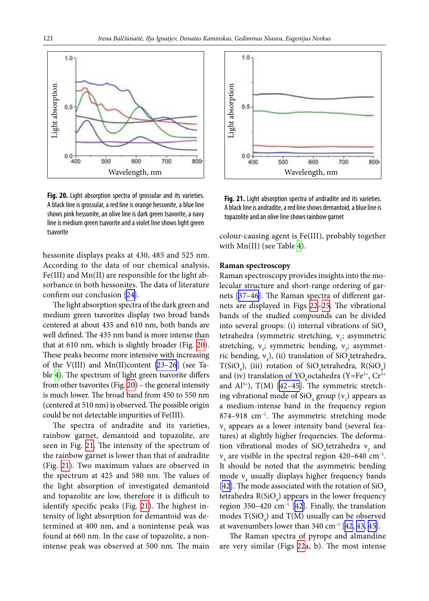<span id="page-14-0"></span>

**Fig. 20.** Light absorption spectra of grossular and its varieties. A black line is grossular, a red line is orange hessonite, a blue line shows pink hessonite, an olive line is dark green tsavorite, a navy line is medium green tsavorite and a violet line shows light green tsavorite

hessonite displays peaks at 430, 485 and 525 nm. According to the data of our chemical analysis, Fe(III) and Mn(II) are responsible for the light absorbance in both hessonites. The data of literature confirm our conclusion [\[24\]](#page-18-21).

The light absorption spectra of the dark green and medium green tsavorites display two broad bands centered at about 435 and 610 nm, both bands are well defined. The 435 nm band is more intense than that at 610 nm, which is slightly broader (Fig. [20](#page-14-0)). These peaks become more intensive with increasing of the V(III) and Mn(II)content [[23–26](#page-18-23)] (see Table [4](#page-3-0)). The spectrum of light green tsavorite differs from other tsavorites (Fig. [20\)](#page-14-0) – the general intensity is much lower. The broad band from 450 to 550 nm (centered at 510 nm) is observed. The possible origin could be not detectable impurities of Fe(III).

The spectra of andradite and its varieties, rainbow garnet, demantoid and topazolite, are seen in Fig. [21.](#page-14-1) The intensity of the spectrum of the rainbow garnet is lower than that of andradite (Fig.  [21](#page-14-1)). Two maximum values are observed in the spectrum at 425 and 580 nm. The values of the light absorption of investigated demantoid and topazolite are low, therefore it is difficult to identify specific peaks (Fig. [21](#page-14-1)). The highest intensity of light absorption for demantoid was determined at 400 nm, and a nonintense peak was found at 660 nm. In the case of topazolite, a nonintense peak was observed at 500 nm. The main

<span id="page-14-1"></span>

Fig. 21. Light absorption spectra of andradite and its varieties. A black line is andradite, a red line shows demantoid, a blue line is topazolite and an olive line shows rainbow garnet

colour-causing agent is Fe(III), probably together with Mn(II) (see Table [4](#page-3-0)).

#### **Raman spectroscopy**

Raman spectroscopy provides insights into the molecular structure and short-range ordering of garnets [[37–46\]](#page-18-24). The Raman spectra of different garnets are displayed in Figs  [22](#page-15-0)[–25.](#page-17-2) The vibrational bands of the studied compounds can be divided into several groups: (i) internal vibrations of  $SiO<sub>4</sub>$ tetrahedra (symmetric stretching, v<sub>1</sub>; asymmetric stretching,  $v_3$ ; symmetric bending,  $v_2$ ; asymmetric bending,  $v_4$ ), (ii) translation of SiO<sub>4</sub>tetrahedra,  $T(SiO_4)$ , (iii) rotation of SiO<sub>4</sub>tetrahedra, R(SiO<sub>4</sub>) and (iv) translation of YO<sub>6</sub> octahedra (Y=Fe<sup>3+</sup>, Cr<sup>3+</sup>) and  $Al^{3+}$ ), T(M) [42-45]. The symmetric stretching vibrational mode of  $\text{SiO}_4$  group  $(\text{v}_1)$  appears as a medium-intense band in the frequency region  $874-918$  cm<sup>-1</sup>. The asymmetric stretching mode  $v<sub>3</sub>$  appears as a lower intensity band (several features) at slightly higher frequencies. The deformation vibrational modes of SiO<sub>4</sub>tetrahedra  $v_2$  and  $v_4$  are visible in the spectral region 420–640 cm<sup>-1</sup>. It should be noted that the asymmetric bending mode  $v_4$  usually displays higher frequency bands [\[42](#page-18-26)]. The mode associated with the rotation of  $SiO<sub>4</sub>$ tetrahedra  $R(SiO<sub>4</sub>)$  appears in the lower frequency region 350–420  $\text{cm}^{-1}$  [[42\]](#page-18-26). Finally, the translation modes  $T(SiO_4)$  and  $T(M)$  usually can be observed at wavenumbers lower than  $340 \text{ cm}^{-1}$  [[42,](#page-18-26) [43,](#page-18-27) [45](#page-18-28)].

The Raman spectra of pyrope and almandine are very similar (Figs  [22](#page-15-0)a, b). The most intense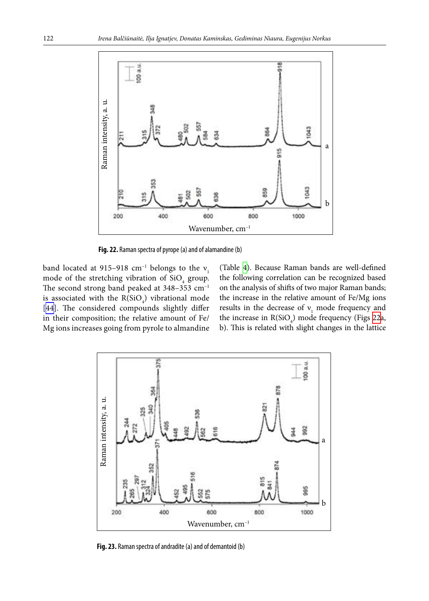<span id="page-15-0"></span>

**Fig. 22.** Raman spectra of pyrope (a) and of alamandine (b)

band located at 915–918  $cm^{-1}$  belongs to the  $v_1$ mode of the stretching vibration of  $SiO<sub>4</sub>$  group. The second strong band peaked at 348-353 cm<sup>-1</sup> is associated with the  $R(SiO<sub>4</sub>)$  vibrational mode [[44](#page-18-29)]. The considered compounds slightly differ in their composition; the relative amount of Fe/ Mg ions increases going from pyrole to almandine

<span id="page-15-1"></span>(Table  [4](#page-3-0)). Because Raman bands are well-defined the following correlation can be recognized based on the analysis of shifts of two major Raman bands; the increase in the relative amount of Fe/Mg ions results in the decrease of  $v_1$  mode frequency and the increase in  $R(SiO<sub>4</sub>)$  mode frequency (Figs [22](#page-15-0)a, b). This is related with slight changes in the lattice



**Fig. 23.** Raman spectra of andradite (a) and of demantoid (b)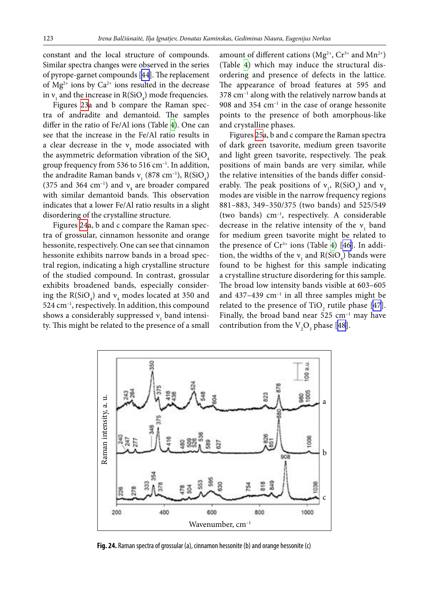constant and the local structure of compounds. Similar spectra changes were observed in the series of pyrope-garnet compounds [\[44\]](#page-18-29). The replacement of  $Mg^{2+}$  ions by  $Ca^{2+}$  ions resulted in the decrease in  $v_1$  and the increase in  $R(SiO_4)$  mode frequencies.

Figures [23a](#page-15-1) and b compare the Raman spectra of andradite and demantoid. The samples differ in the ratio of Fe/Al ions (Table [4](#page-3-0)). One can see that the increase in the Fe/Al ratio results in a clear decrease in the  $v_4$  mode associated with the asymmetric deformation vibration of the  $SiO<sub>4</sub>$ group frequency from 536 to 516 cm–1. In addition, the andradite Raman bands  $v_1$  (878 cm<sup>-1</sup>), R(SiO<sub>4</sub>) (375 and 364 cm<sup>-1</sup>) and  $v_4$  are broader compared with similar demantoid bands. This observation indicates that a lower Fe/Al ratio results in a slight disordering of the crystalline structure.

Figures [24a](#page-16-0), b and c compare the Raman spectra of grossular, cinnamon hessonite and orange hessonite, respectively. One can see that cinnamon hessonite exhibits narrow bands in a broad spectral region, indicating a high crystalline structure of the studied compound. In contrast, grossular exhibits broadened bands, especially considering the  $R(SiO_4)$  and  $v_4$  modes located at 350 and 524 cm–1, respectively. In addition, this compound shows a considerably suppressed  $v_1$  band intensity. This might be related to the presence of a small

amount of different cations ( $Mg^{2+}$ ,  $Cr^{3+}$  and  $Mn^{2+}$ ) (Table  [4\)](#page-3-0) which may induce the structural disordering and presence of defects in the lattice. The appearance of broad features at 595 and  $378 \text{ cm}^{-1}$  along with the relatively narrow bands at 908 and 354  $cm^{-1}$  in the case of orange hessonite points to the presence of both amorphous-like and crystalline phases.

Figures [25](#page-17-2)a, b and c compare the Raman spectra of dark green tsavorite, medium green tsavorite and light green tsavorite, respectively. The peak positions of main bands are very similar, while the relative intensities of the bands differ considerably. The peak positions of  $v_1$ , R(SiO<sub>4</sub>) and  $v_4$ modes are visible in the narrow frequency regions 881–883, 349–350/375 (two bands) and 525/549 (two bands) cm–1, respectively. A considerable decrease in the relative intensity of the  $v_1$  band for medium green tsavorite might be related to the presence of  $Cr^{3+}$  ions (Table [4\)](#page-3-0) [[46\]](#page-18-30). In addition, the widths of the  $v_1$  and  $R(SiO_4)$  bands were found to be highest for this sample indicating a crystalline structure disordering for this sample. The broad low intensity bands visible at 603–605 and  $437-439$  cm<sup>-1</sup> in all three samples might be related to the presence of  $TiO_2$  rutile phase [[47](#page-18-31)]. Finally, the broad band near  $525 \text{ cm}^{-1}$  may have contribution from the  $V_2O_3$  phase [[48\]](#page-18-32).

<span id="page-16-0"></span>

**Fig. 24.** Raman spectra of grossular (a), cinnamon hessonite (b) and orange hessonite (c)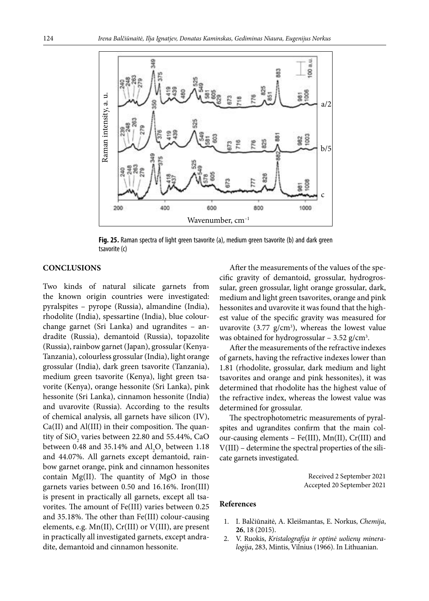<span id="page-17-2"></span>

**Fig. 25.** Raman spectra of light green tsavorite (a), medium green tsavorite (b) and dark green tsavorite (c)

## **CONCLUSIONS**

Two kinds of natural silicate garnets from the known origin countries were investigated: pyralspites – pyrope (Russia), almandine (India), rhodolite (India), spessartine (India), blue colourchange garnet (Sri Lanka) and ugrandites – andradite (Russia), demantoid (Russia), topazolite (Russia), rainbow garnet (Japan), grossular (Kenya-Tanzania), colourless grossular (India), light orange grossular (India), dark green tsavorite (Tanzania), medium green tsavorite (Kenya), light green tsavorite (Kenya), orange hessonite (Sri Lanka), pink hessonite (Sri Lanka), cinnamon hessonite (India) and uvarovite (Russia). According to the results of chemical analysis, all garnets have silicon (IV), Ca(II) and Al(III) in their composition. The quantity of  $\rm SiO_{2}$  varies between 22.80 and 55.44%, CaO between 0.48 and 35.14% and  $\text{Al}_2\text{O}_3$  between 1.18 and 44.07%. All garnets except demantoid, rainbow garnet orange, pink and cinnamon hessonites contain Mg(II). The quantity of MgO in those garnets varies between 0.50 and 16.16%. Iron(III) is present in practically all garnets, except all tsavorites. The amount of Fe(III) varies between 0.25 and 35.18%. The other than Fe(III) colour-causing elements, e.g. Mn(II), Cr(III) or V(III), are present in practically all investigated garnets, except andradite, demantoid and cinnamon hessonite.

After the measurements of the values of the specific gravity of demantoid, grossular, hydrogrossular, green grossular, light orange grossular, dark, medium and light green tsavorites, orange and pink hessonites and uvarovite it was found that the highest value of the specific gravity was measured for uvarovite  $(3.77 \text{ g/cm}^3)$ , whereas the lowest value was obtained for hydrogrossular  $-3.52$  g/cm<sup>3</sup>.

After the measurements of the refractive indexes of garnets, having the refractive indexes lower than 1.81 (rhodolite, grossular, dark medium and light tsavorites and orange and pink hessonites), it was determined that rhodolite has the highest value of the refractive index, whereas the lowest value was determined for grossular.

The spectrophotometric measurements of pyralspites and ugrandites confirm that the main colour-causing elements – Fe(III), Mn(II), Cr(III) and V(III) – determine the spectral properties of the silicate garnets investigated.

> Received 2 September 2021 Accepted 20 September 2021

#### <span id="page-17-0"></span>**References**

- 1. I. Balčiūnaitė, A. Kleišmantas, E. Norkus, *Chemija*, **26**, 18 (2015).
- <span id="page-17-1"></span>2. V. Ruokis, *Kristalografija ir optinė uolienų mineralogija*, 283, Mintis, Vilnius (1966). In Lithuanian.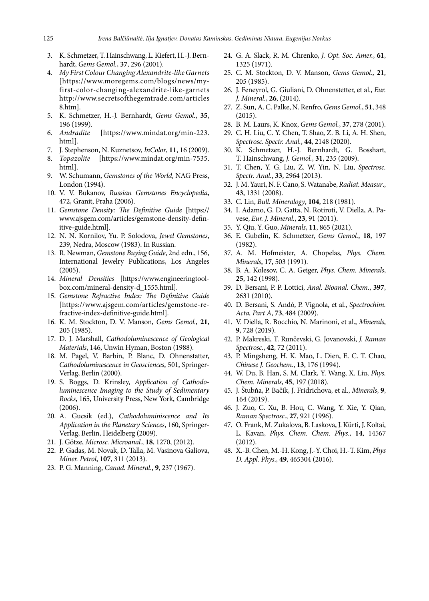- <span id="page-18-0"></span>3. K. Schmetzer, T. Hainschwang, L. Kiefert, H.-J. Bernhardt, *Gems Gemol.*, **37**, 296 (2001).
- <span id="page-18-1"></span>4. *My First Colour Changing Alexandrite-like Garnets* [https://www.moregems.com/blogs/news/myfirst-color-changing-alexandrite-like-garnets http://www.secretsofthegemtrade.com/articles 8.htm].
- <span id="page-18-3"></span><span id="page-18-2"></span>5. K. Schmetzer, H.-J. Bernhardt, *Gems Gemol.*, **35**, 196 (1999).
- <span id="page-18-4"></span>6. *Andradite* [https://www.mindat.org/min-223. html].
- <span id="page-18-5"></span>7. J. Stephenson, N. Kuznetsov, *InColor*, **11**, 16 (2009).
- <span id="page-18-6"></span>8. *Topazolite* [https://www.mindat.org/min-7535. html].
- <span id="page-18-7"></span>9. W. Schumann, *Gemstones of the World*, NAG Press, London (1994).
- <span id="page-18-8"></span>10. V. V. Bukanov, *Russian Gemstones Encyclopedia*, 472, Granit, Praha (2006).
- 11. *Gemstone Density: The Definitive Guide* [https:// www.ajsgem.com/articles/gemstone-density-definitive-guide.html].
- 12. N. N. Kornilov, Yu. P. Solodova, *Jewel Gemstones*, 239, Nedra, Moscow (1983). In Russian.
- 13. R. Newman, *Gemstone Buying Guide*, 2nd edn., 156, International Jewelry Publications, Los Angeles (2005).
- 14. *Mineral Densities* [https://www.engineeringtoolbox.com/mineral-density-d\_1555.html].
- <span id="page-18-9"></span>15. *Gemstone Refractive Index: The Definitive Guide* [https://www.ajsgem.com/articles/gemstone-refractive-index-definitive-guide.html].
- <span id="page-18-10"></span>16. K. M. Stockton, D. V. Manson, *Gems Gemol.*, **21**, 205 (1985).
- 17. D. J. Marshall, *Cathodoluminescence of Geological Materials*, 146, Unwin Hyman, Boston (1988).
- 18. M. Pagel, V. Barbin, P. Blanc, D. Ohnenstatter, *Cathodoluminescence in Geosciences*, 501, Springer-Verlag, Berlin (2000).
- 19. S. Boggs, D. Krinsley, *Application of Cathodoluminescence Imaging to the Study of Sedimentary Rocks*, 165, University Press, New York, Cambridge (2006).
- 20. A. Gucsik (ed.), *Cathodoluminiscence and Its Application in the Planetary Sciences*, 160, Springer-Verlag, Berlin, Heidelberg (2009).
- <span id="page-18-23"></span><span id="page-18-11"></span>21. J. Götze, *Microsc. Microanal.*, **18**, 1270, (2012).
- <span id="page-18-22"></span><span id="page-18-12"></span>22. P. Gadas, M. Novak, D. Talla, M. Vasinova Galiova, *Miner. Petrol*, **107**, 311 (2013).
- 23. P. G. Manning, *Canad. Mineral.*, **9**, 237 (1967).
- <span id="page-18-21"></span>24. G. A. Slack, R. M. Chrenko, *J. Opt. Soc. Amer.*, **61**, 1325 (1971).
- 25. C. M. Stockton, D. V. Manson, *Gems Gemol.*, **21**, 205 (1985).
- <span id="page-18-16"></span>26. J. Feneyrol, G. Giuliani, D. Ohnenstetter, et al., *Eur. J. Mineral.*, **26**, (2014).
- <span id="page-18-14"></span><span id="page-18-13"></span>27. Z. Sun, A. C. Palke, N. Renfro, *Gems Gemol.*, **51**, 348 (2015).
- 28. B. M. Laurs, K. Knox, *Gems Gemol.*, **37**, 278 (2001).
- 29. C. H. Liu, C. Y. Chen, T. Shao, Z. B. Li, A. H. Shen, *Spectrosc. Spectr. Anal.*, **44**, 2148 (2020).
- <span id="page-18-17"></span>30. K. Schmetzer, H.-J. Bernhardt, G. Bosshart, T. Hainschwang, *J. Gemol.*, **31**, 235 (2009).
- <span id="page-18-20"></span>31. T. Chen, Y. G. Liu, Z. W. Yin, N. Liu, *Spectrosc. Spectr. Anal.*, **33**, 2964 (2013).
- <span id="page-18-18"></span>32. J. M. Yauri, N. F. Cano, S. Watanabe, *Radiat. Measur*., **43**, 1331 (2008).
- <span id="page-18-19"></span>33. C. Lin, *Bull. Mineralogy*, **104**, 218 (1981).
- 34. I. Adamo, G. D. Gatta, N. Rotiroti, V. Diella, A. Pavese, *Eur. J. Mineral.*, **23**, 91 (2011).
- <span id="page-18-15"></span>35. Y. Qiu, Y. Guo, *Minerals*, **11**, 865 (2021).
- 36. E. Gubelin, K. Schmetzer, *Gems Gemol.*, **18**, 197 (1982).
- <span id="page-18-24"></span>37. A. M. Hofmeister, A. Chopelas, *Phys. Chem. Minerals*, **17**, 503 (1991).
- 38. B. A. Kolesov, C. A. Geiger, *Phys. Chem. Minerals*, **25**, 142 (1998).
- 39. D. Bersani, P. P. Lottici, *Anal. Bioanal. Chem*., **397**, 2631 (2010).
- 40. D. Bersani, S. Andó, P. Vignola, et al., *Spectrochim. Acta, Part A*, **73**, 484 (2009).
- <span id="page-18-26"></span><span id="page-18-25"></span>41. V. Diella, R. Bocchio, N. Marinoni, et al., *Minerals*, **9**, 728 (2019).
- 42. P. Makreski, T. Runčevski, G. Jovanovski, *J. Raman Spectrosc*., **42**, 72 (2011).
- <span id="page-18-29"></span><span id="page-18-27"></span>43. P. Mingsheng, H. K. Mao, L. Dien, E. C. T. Chao, *Chinese J. Geochem*., **13**, 176 (1994).
- <span id="page-18-28"></span>44. W. Du, B. Han, S. M. Clark, Y. Wang, X. Liu, *Phys. Chem. Minerals*, **45**, 197 (2018).
- <span id="page-18-30"></span>45. J. Štubňa, P. Bačik, J. Fridrichova, et al., *Minerals*, **9**, 164 (2019).
- <span id="page-18-31"></span>46. J. Zuo, C. Xu, B. Hou, C. Wang, Y. Xie, Y. Qian, *Raman Spectrosc*., **27**, 921 (1996).
- 47. O. Frank, M. Zukalova, B. Laskova, J. Kürti, J. Koltai, L. Kavan, *Phys. Chem. Chem. Phys*., **14**, 14567 (2012).
- <span id="page-18-32"></span>48. X.-B. Chen, M.-H. Kong, J.-Y. Choi, H.-T. Kim, *Phys D. Appl. Phys*., **49**, 465304 (2016).